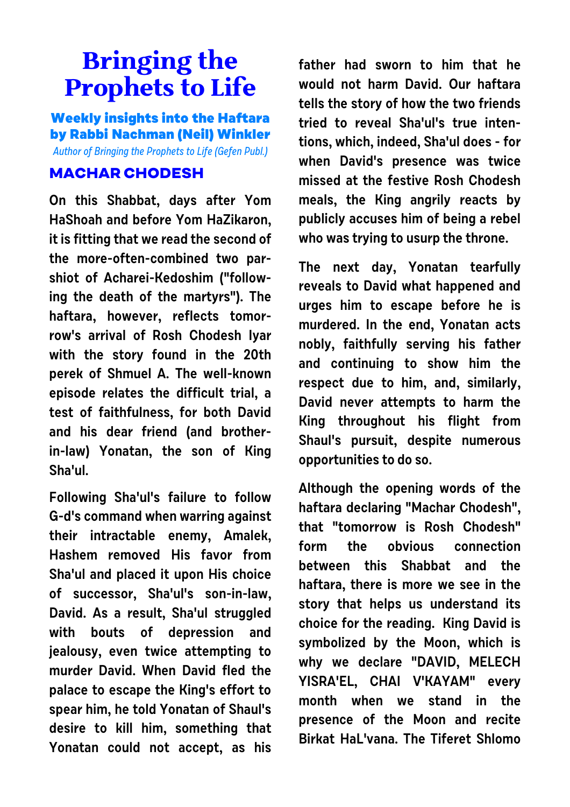## **Bringing the Prophets to Life**

**Weekly insights into the Haftara by Rabbi Nachman (Neil) Winkler** Author of Bringing the Prophets to Life (Gefen Publ.)

## **MACHAR CHODESH**

**On this Shabbat, days after Yom HaShoah and before Yom HaZikaron, it is fitting that we read the second of the more-often-combined two parshiot of Acharei-Kedoshim ("following the death of the martyrs"). The haftara, however, reflects tomorrow's arrival of Rosh Chodesh Iyar with the story found in the 20th perek of Shmuel A. The well-known episode relates the difficult trial, a test of faithfulness, for both David and his dear friend (and brotherin-law) Yonatan, the son of King Sha'ul.**

**Following Sha'ul's failure to follow G-d's command when warring against their intractable enemy, Amalek, Hashem removed His favor from Sha'ul and placed it upon His choice of successor, Sha'ul's son-in-law, David. As a result, Sha'ul struggled with bouts of depression and jealousy, even twice attempting to murder David. When David fled the palace to escape the King's effort to spear him, he told Yonatan of Shaul's desire to kill him, something that Yonatan could not accept, as his**

**father had sworn to him that he would not harm David. Our haftara tells the story of how the two friends tried to reveal Sha'ul's true intentions, which, indeed, Sha'ul does - for when David's presence was twice missed at the festive Rosh Chodesh meals, the King angrily reacts by publicly accuses him of being a rebel who was trying to usurp the throne.** 

**The next day, Yonatan tearfully reveals to David what happened and urges him to escape before he is murdered. In the end, Yonatan acts nobly, faithfully serving his father and continuing to show him the respect due to him, and, similarly, David never attempts to harm the King throughout his flight from Shaul's pursuit, despite numerous opportunities to do so.**

**Although the opening words of the haftara declaring "Machar Chodesh", that "tomorrow is Rosh Chodesh" form the obvious connection between this Shabbat and the haftara, there is more we see in the story that helps us understand its choice for the reading. King David is symbolized by the Moon, which is why we declare "DAVID, MELECH YISRA'EL, CHAI V'KAYAM" every month when we stand in the presence of the Moon and recite Birkat HaL'vana. The Tiferet Shlomo**